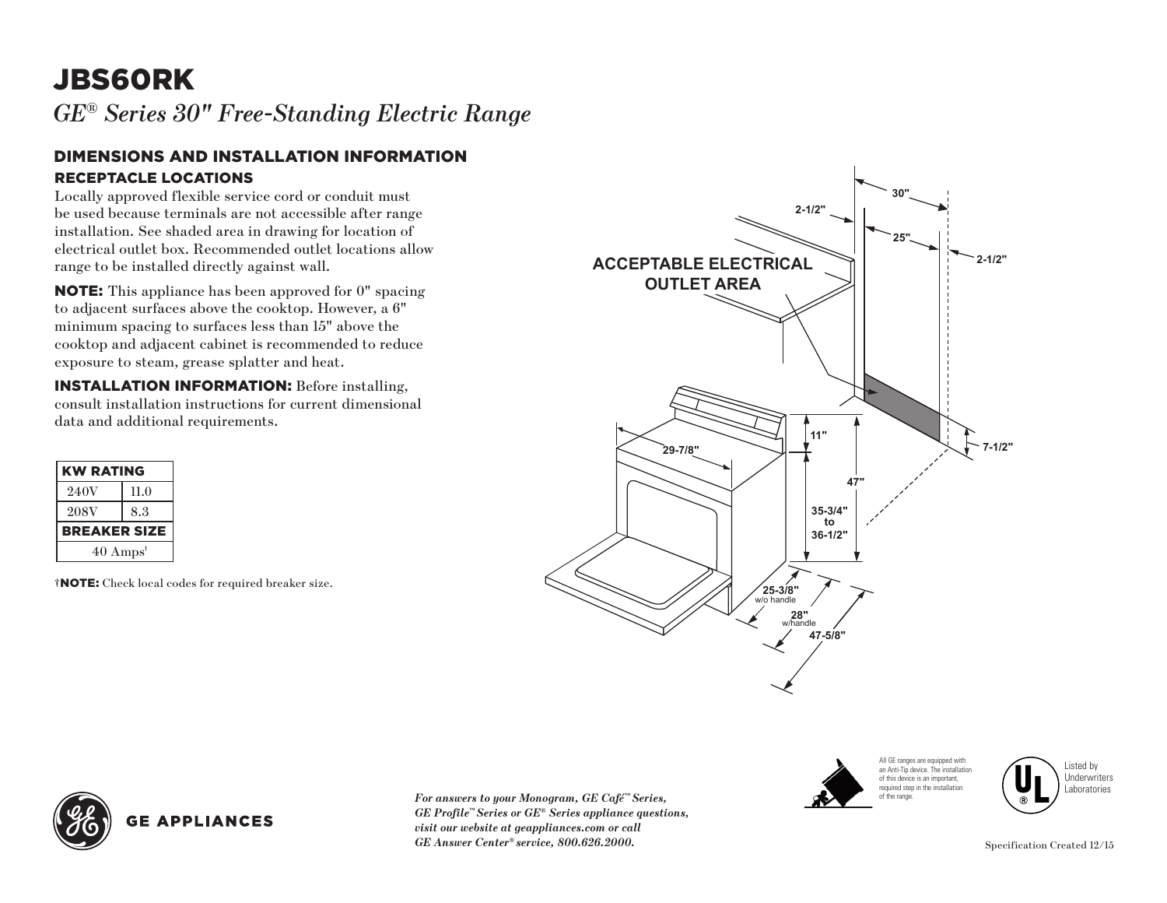## JBS60RK

*GE® Series 30" Free-Standing Electric Range* 

## RECEPTACLE LOCATIONS DIMENSIONS AND INSTALLATION INFORMATION

Locally approved flexible service cord or conduit must be used because terminals are not accessible after range installation. See shaded area in drawing for location of electrical outlet box. Recommended outlet locations allow range to be installed directly against wall.

NOTE: This appliance has been approved for 0" spacing to adjacent surfaces above the cooktop. However, a 6" minimum spacing to surfaces less than 15" above the cooktop and adjacent cabinet is recommended to reduce exposure to steam, grease splatter and heat.

INSTALLATION INFORMATION: Before installing, consult installation instructions for current dimensional data and additional requirements.

| <b>KW RATING</b>            |      |
|-----------------------------|------|
| 240V                        | 11.0 |
| <b>208V</b>                 | 8.3  |
| <b>BREAKER SIZE</b>         |      |
| $40 \text{ Amps}^{\dagger}$ |      |
|                             |      |

†NOTE: Check local codes for required breaker size.





Listed by Underwriters Laboratories



*For answers to your Monogram, GE Café™ Series, GE Profile™ Series or GE® Series appliance questions, visit our website at geappliances.com or call GE Answer Center® service, 800.626.2000.*